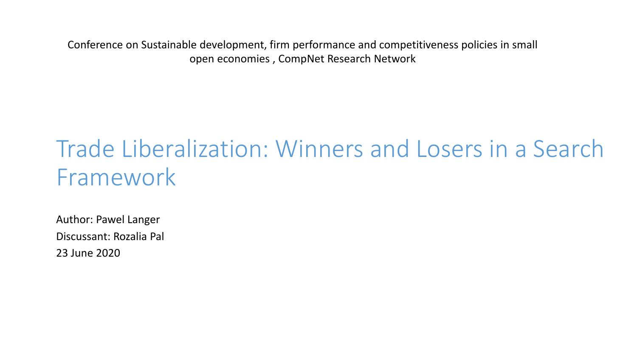Conference on Sustainable development, firm performance and competitiveness policies in small open economies , CompNet Research Network

### Trade Liberalization: Winners and Losers in a Search Framework

Author: Pawel Langer Discussant: Rozalia Pal 23 June 2020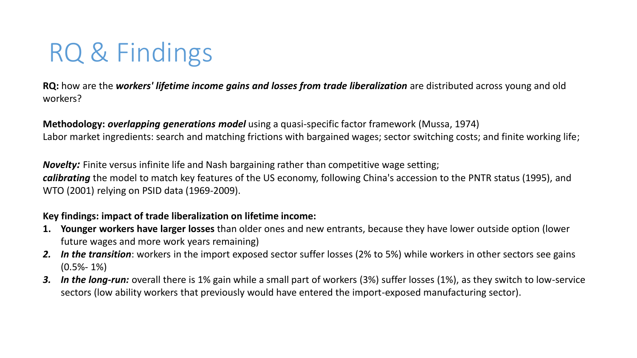# RQ & Findings

**RQ:** how are the *workers' lifetime income gains and losses from trade liberalization* are distributed across young and old workers?

**Methodology:** *overlapping generations model* using a quasi-specific factor framework (Mussa, 1974) Labor market ingredients: search and matching frictions with bargained wages; sector switching costs; and finite working life;

*Novelty:* Finite versus infinite life and Nash bargaining rather than competitive wage setting; *calibrating* the model to match key features of the US economy, following China's accession to the PNTR status (1995), and WTO (2001) relying on PSID data (1969-2009).

#### **Key findings: impact of trade liberalization on lifetime income:**

- **1. Younger workers have larger losses** than older ones and new entrants, because they have lower outside option (lower future wages and more work years remaining)
- *2. In the transition*: workers in the import exposed sector suffer losses (2% to 5%) while workers in other sectors see gains  $(0.5\% - 1\%)$
- *3. In the long-run:* overall there is 1% gain while a small part of workers (3%) suffer losses (1%), as they switch to low-service sectors (low ability workers that previously would have entered the import-exposed manufacturing sector).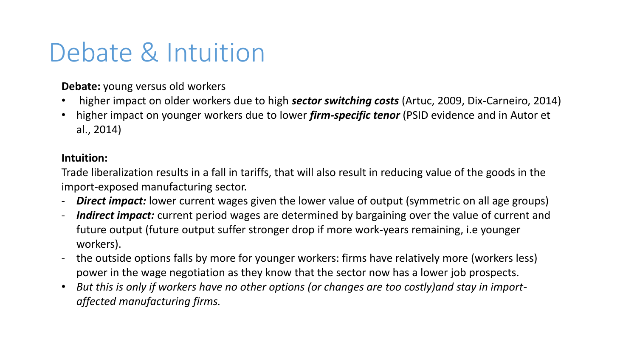## Debate & Intuition

**Debate:** young versus old workers

- higher impact on older workers due to high *sector switching costs* (Artuc, 2009, Dix-Carneiro, 2014)
- higher impact on younger workers due to lower *firm-specific tenor* (PSID evidence and in Autor et al., 2014)

### **Intuition:**

Trade liberalization results in a fall in tariffs, that will also result in reducing value of the goods in the import-exposed manufacturing sector.

- *Direct impact:* lower current wages given the lower value of output (symmetric on all age groups)
- *Indirect impact:* current period wages are determined by bargaining over the value of current and future output (future output suffer stronger drop if more work-years remaining, i.e younger workers).
- the outside options falls by more for younger workers: firms have relatively more (workers less) power in the wage negotiation as they know that the sector now has a lower job prospects.
- *But this is only if workers have no other options (or changes are too costly)and stay in importaffected manufacturing firms.*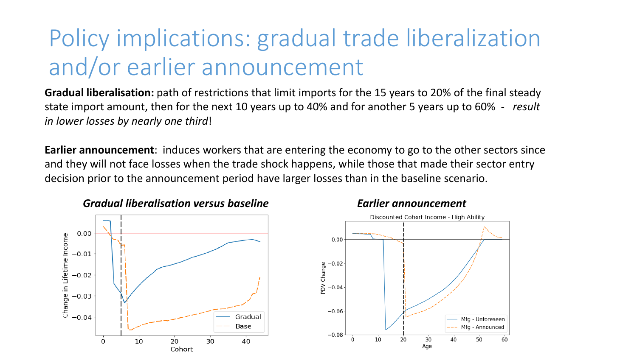### Policy implications: gradual trade liberalization and/or earlier announcement

**Gradual liberalisation:** path of restrictions that limit imports for the 15 years to 20% of the final steady state import amount, then for the next 10 years up to 40% and for another 5 years up to 60% - *result in lower losses by nearly one third*!

**Earlier announcement**: induces workers that are entering the economy to go to the other sectors since and they will not face losses when the trade shock happens, while those that made their sector entry decision prior to the announcement period have larger losses than in the baseline scenario.



#### *Gradual liberalisation versus baseline Earlier announcement*